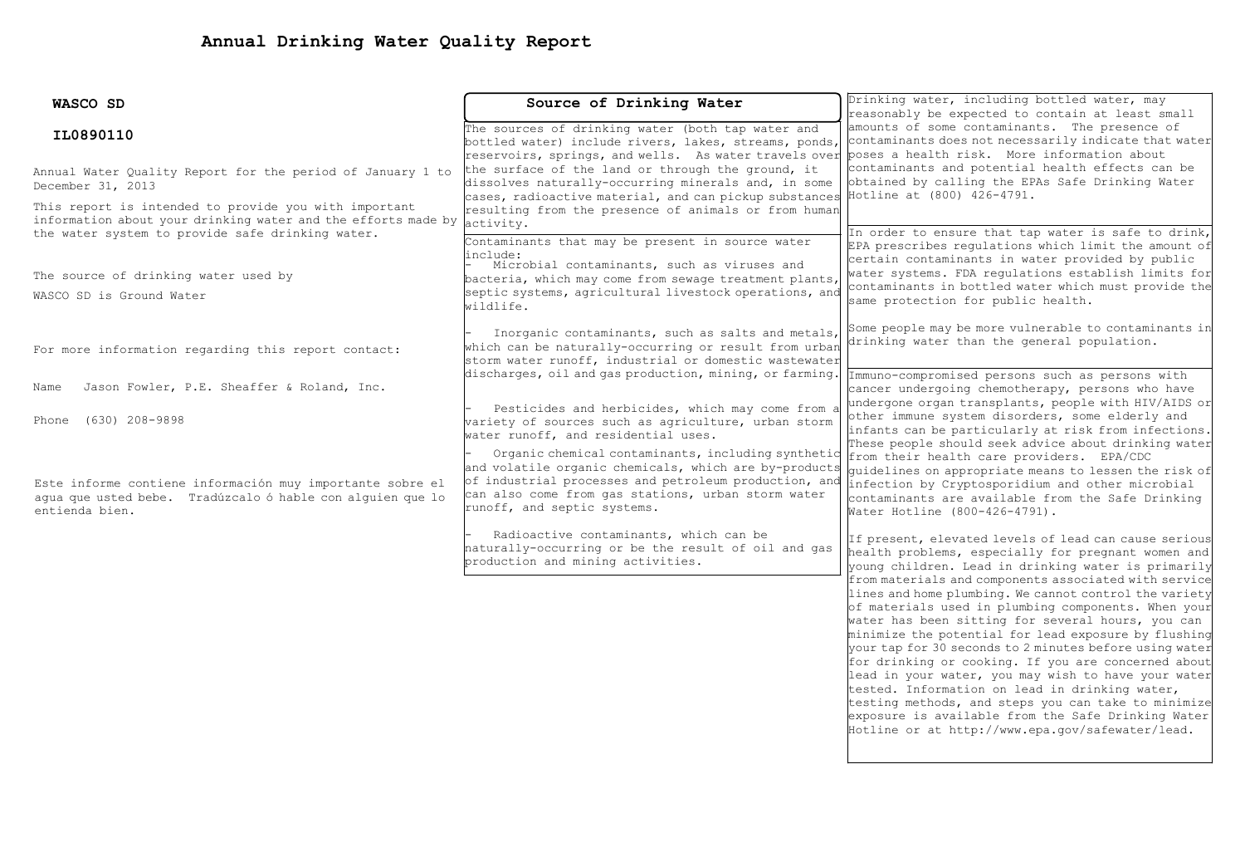| WASCO SD                                                                                                               | Source of Drinking Water                                                                                       | Drinking water, including bottled water, may                                                                    |  |  |
|------------------------------------------------------------------------------------------------------------------------|----------------------------------------------------------------------------------------------------------------|-----------------------------------------------------------------------------------------------------------------|--|--|
|                                                                                                                        |                                                                                                                | reasonably be expected to contain at least small                                                                |  |  |
| IL0890110                                                                                                              | The sources of drinking water (both tap water and<br>bottled water) include rivers, lakes, streams, ponds,     | amounts of some contaminants. The presence of<br>contaminants does not necessarily indicate that water          |  |  |
|                                                                                                                        | reservoirs, springs, and wells. As water travels over poses a health risk. More information about              |                                                                                                                 |  |  |
| Annual Water Ouality Report for the period of January 1 to                                                             | the surface of the land or through the ground, it                                                              | contaminants and potential health effects can be                                                                |  |  |
| December 31, 2013                                                                                                      | dissolves naturally-occurring minerals and, in some                                                            | obtained by calling the EPAs Safe Drinking Water                                                                |  |  |
|                                                                                                                        | cases, radioactive material, and can pickup substances                                                         | Hotline at (800) 426-4791.                                                                                      |  |  |
| This report is intended to provide you with important<br>information about your drinking water and the efforts made by | resulting from the presence of animals or from human                                                           |                                                                                                                 |  |  |
| the water system to provide safe drinking water.                                                                       | activity.                                                                                                      | In order to ensure that tap water is safe to drink,                                                             |  |  |
|                                                                                                                        | Contaminants that may be present in source water                                                               | EPA prescribes regulations which limit the amount of                                                            |  |  |
|                                                                                                                        | linclude:<br>Microbial contaminants, such as viruses and                                                       | certain contaminants in water provided by public                                                                |  |  |
| The source of drinking water used by                                                                                   | bacteria, which may come from sewage treatment plants,                                                         | water systems. FDA requlations establish limits for                                                             |  |  |
| WASCO SD is Ground Water                                                                                               | septic systems, agricultural livestock operations, and                                                         | contaminants in bottled water which must provide the                                                            |  |  |
|                                                                                                                        | wildlife.                                                                                                      | same protection for public health.                                                                              |  |  |
|                                                                                                                        |                                                                                                                | Some people may be more vulnerable to contaminants in                                                           |  |  |
|                                                                                                                        | Inorganic contaminants, such as salts and metals,                                                              | drinking water than the general population.                                                                     |  |  |
| For more information regarding this report contact:                                                                    | which can be naturally-occurring or result from urban<br>storm water runoff, industrial or domestic wastewater |                                                                                                                 |  |  |
|                                                                                                                        | discharges, oil and gas production, mining, or farming.                                                        | Immuno-compromised persons such as persons with                                                                 |  |  |
| Jason Fowler, P.E. Sheaffer & Roland, Inc.<br>Name                                                                     |                                                                                                                | cancer undergoing chemotherapy, persons who have                                                                |  |  |
|                                                                                                                        |                                                                                                                | undergone organ transplants, people with HIV/AIDS or                                                            |  |  |
| $(630)$ 208-9898<br>Phone                                                                                              | Pesticides and herbicides, which may come from a<br>wariety of sources such as agriculture, urban storm        | other immune system disorders, some elderly and                                                                 |  |  |
|                                                                                                                        | water runoff, and residential uses.                                                                            | infants can be particularly at risk from infections.                                                            |  |  |
|                                                                                                                        | Organic chemical contaminants, including synthetic                                                             | These people should seek advice about drinking water                                                            |  |  |
|                                                                                                                        | and volatile organic chemicals, which are by-products                                                          | from their health care providers. EPA/CDC                                                                       |  |  |
| Este informe contiene información muy importante sobre el                                                              | of industrial processes and petroleum production, and                                                          | quidelines on appropriate means to lessen the risk of<br>infection by Cryptosporidium and other microbial       |  |  |
| aqua que usted bebe. Tradúzcalo ó hable con alquien que lo                                                             | can also come from gas stations, urban storm water                                                             | contaminants are available from the Safe Drinking                                                               |  |  |
| entienda bien.                                                                                                         | runoff, and septic systems.                                                                                    | Water Hotline (800-426-4791).                                                                                   |  |  |
|                                                                                                                        |                                                                                                                |                                                                                                                 |  |  |
|                                                                                                                        | Radioactive contaminants, which can be                                                                         | If present, elevated levels of lead can cause serious                                                           |  |  |
|                                                                                                                        | haturally-occurring or be the result of oil and gas<br>production and mining activities.                       | health problems, especially for pregnant women and                                                              |  |  |
|                                                                                                                        |                                                                                                                | young children. Lead in drinking water is primarily                                                             |  |  |
|                                                                                                                        |                                                                                                                | from materials and components associated with service<br>lines and home plumbing. We cannot control the variety |  |  |
|                                                                                                                        |                                                                                                                | of materials used in plumbing components. When your                                                             |  |  |
|                                                                                                                        |                                                                                                                | water has been sitting for several hours, you can                                                               |  |  |
|                                                                                                                        |                                                                                                                | minimize the potential for lead exposure by flushing                                                            |  |  |
|                                                                                                                        |                                                                                                                | your tap for 30 seconds to 2 minutes before using water                                                         |  |  |
|                                                                                                                        |                                                                                                                | for drinking or cooking. If you are concerned about                                                             |  |  |
|                                                                                                                        |                                                                                                                | lead in your water, you may wish to have your water                                                             |  |  |
|                                                                                                                        |                                                                                                                | tested. Information on lead in drinking water,<br>tooting mothods, and stone you can take to minimize           |  |  |

testing methods, and steps you can take to minimize exposure is available from the Safe Drinking Water Hotline or at http://www.epa.gov/safewater/lead.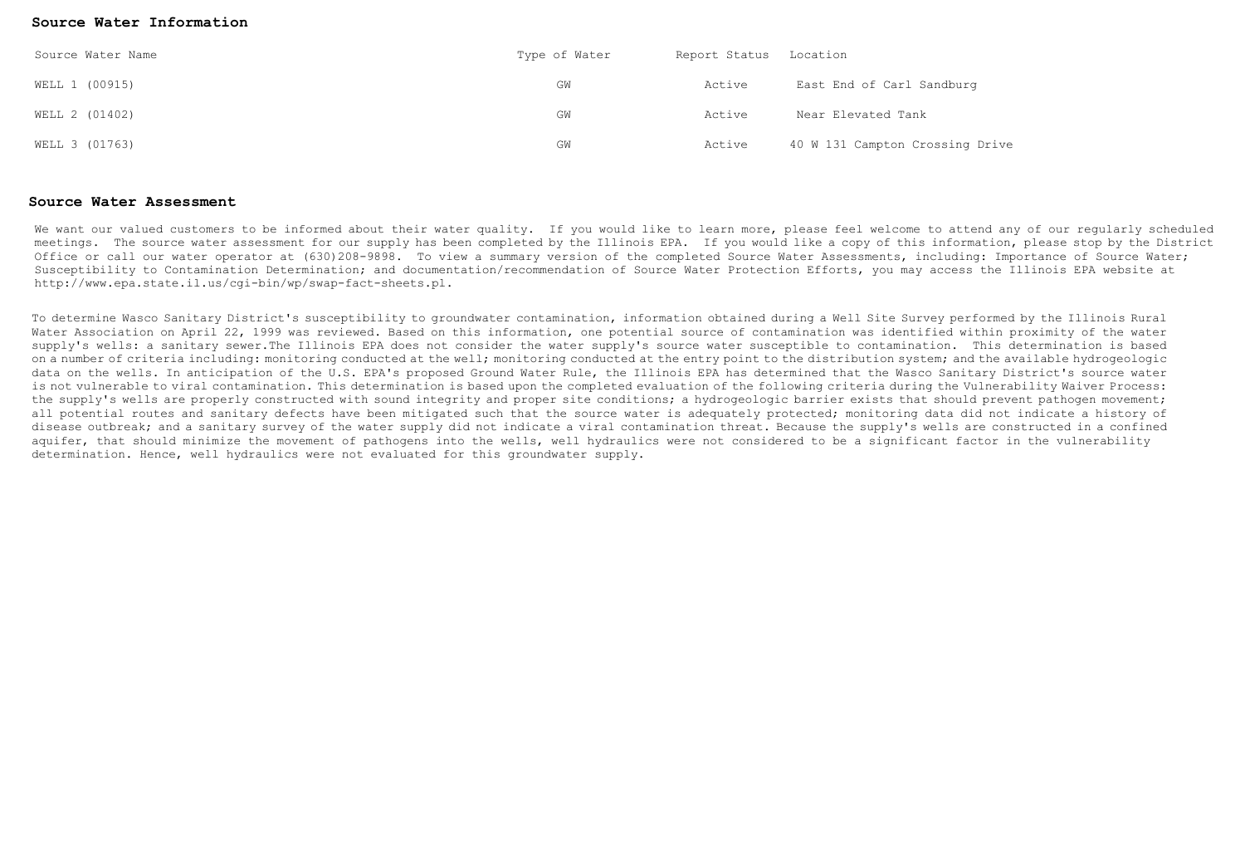### **Source Water Information**

| Source Water Name | Type of Water | Report Status Location |                                 |
|-------------------|---------------|------------------------|---------------------------------|
| WELL 1 (00915)    | GM            | Active                 | East End of Carl Sandburg       |
| WELL 2 (01402)    | GW            | Active                 | Near Elevated Tank              |
| WELL 3 (01763)    | GW            | Active                 | 40 W 131 Campton Crossing Drive |

### **Source Water Assessment**

We want our valued customers to be informed about their water quality. If you would like to learn more, please feel welcome to attend any of our reqularly scheduled meetings. The source water assessment for our supply has been completed by the Illinois EPA. If you would like a copy of this information, please stop by the District Office or call our water operator at (630)208-9898. To view a summary version of the completed Source Water Assessments, including: Importance of Source Water; Susceptibility to Contamination Determination; and documentation/recommendation of Source Water Protection Efforts, you may access the Illinois EPA website at http://www.epa.state.il.us/cgi-bin/wp/swap-fact-sheets.pl.

To determine Wasco Sanitary District's susceptibility to groundwater contamination, information obtained during a Well Site Survey performed by the Illinois Rural Water Association on April 22, 1999 was reviewed. Based on this information, one potential source of contamination was identified within proximity of the water supply's wells: a sanitary sewer.The Illinois EPA does not consider the water supply's source water susceptible to contamination. This determination is based on a number of criteria including: monitoring conducted at the well; monitoring conducted at the entry point to the distribution system; and the available hydrogeologic data on the wells. In anticipation of the U.S. EPA's proposed Ground Water Rule, the Illinois EPA has determined that the Wasco Sanitary District's source water is not vulnerable to viral contamination. This determination is based upon the completed evaluation of the following criteria during the Vulnerability Waiver Process: the supply's wells are properly constructed with sound integrity and proper site conditions; a hydrogeologic barrier exists that should prevent pathogen movement; all potential routes and sanitary defects have been mitigated such that the source water is adequately protected; monitoring data did not indicate a history of disease outbreak; and a sanitary survey of the water supply did not indicate a viral contamination threat. Because the supply's wells are constructed in a confined aquifer, that should minimize the movement of pathogens into the wells, well hydraulics were not considered to be a significant factor in the vulnerability determination. Hence, well hydraulics were not evaluated for this groundwater supply.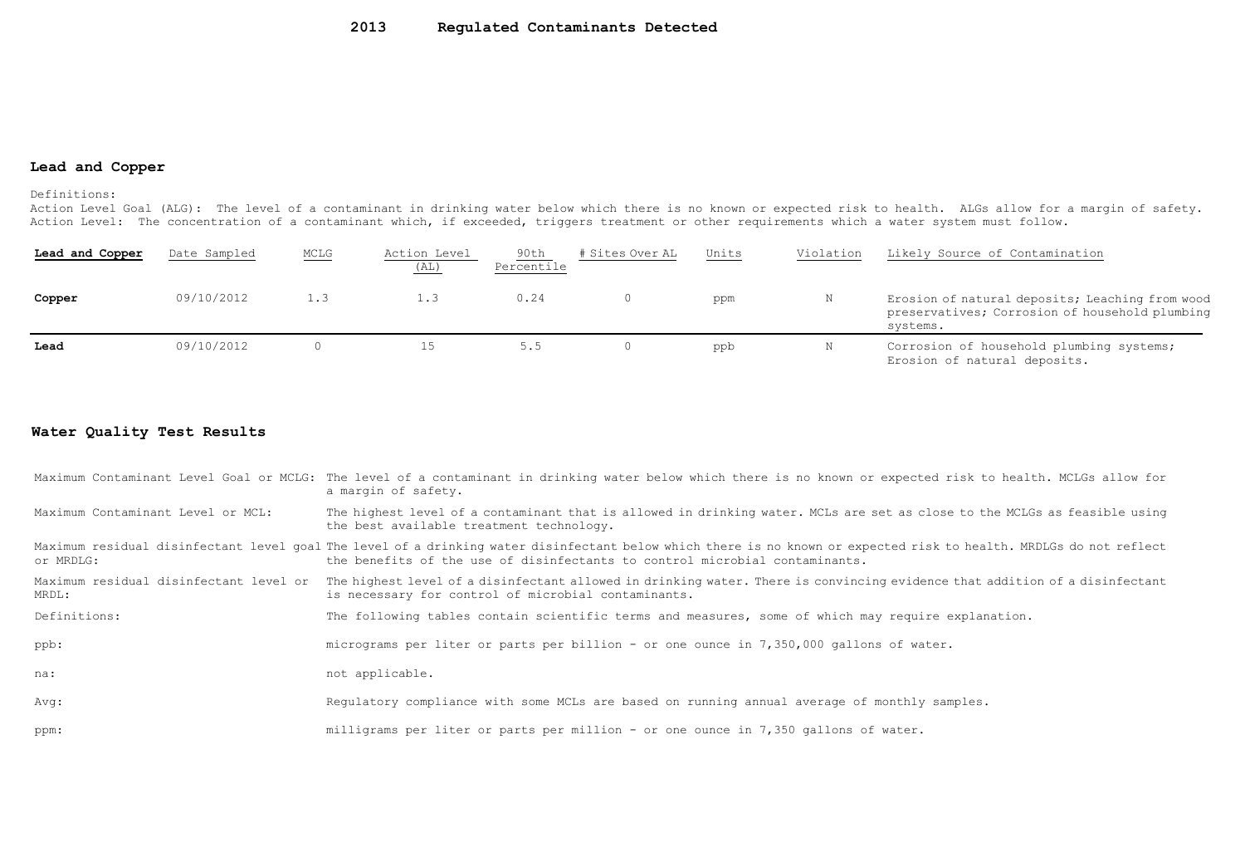## **2013 Regulated Contaminants Detected**

### **Lead and Copper**

Definitions:

Action Level Goal (ALG): The level of a contaminant in drinking water below which there is no known or expected risk to health. ALGs allow for a margin of safety. Action Level: The concentration of a contaminant which, if exceeded, triggers treatment or other requirements which a water system must follow.

| Lead and Copper | Date Sampled | MCLG | Action Level<br>(AL) | 90th<br>Percentile | # Sites Over AL | Units | Violation   | Likely Source of Contamination                                                                                |
|-----------------|--------------|------|----------------------|--------------------|-----------------|-------|-------------|---------------------------------------------------------------------------------------------------------------|
| Copper          | 09/10/2012   | 1.3  | 1.3                  | 0.24               |                 | ppm   | N           | Erosion of natural deposits; Leaching from wood<br>preservatives; Corrosion of household plumbing<br>systems. |
| Lead            | 09/10/2012   |      |                      | 5.5                |                 | ppb   | $\mathbb N$ | Corrosion of household plumbing systems;<br>Erosion of natural deposits.                                      |

# **Water Quality Test Results**

|                                   | Maximum Contaminant Level Goal or MCLG: The level of a contaminant in drinking water below which there is no known or expected risk to health. MCLGs allow for<br>a marqin of safety.                                                              |
|-----------------------------------|----------------------------------------------------------------------------------------------------------------------------------------------------------------------------------------------------------------------------------------------------|
| Maximum Contaminant Level or MCL: | The highest level of a contaminant that is allowed in drinking water. MCLs are set as close to the MCLGs as feasible using<br>the best available treatment technology.                                                                             |
| or MRDLG:                         | Maximum residual disinfectant level qoal The level of a drinking water disinfectant below which there is no known or expected risk to health. MRDLGs do not reflect<br>the benefits of the use of disinfectants to control microbial contaminants. |
| MRDL:                             | Maximum residual disinfectant level or The highest level of a disinfectant allowed in drinking water. There is convincing evidence that addition of a disinfectant<br>is necessary for control of microbial contaminants.                          |
| Definitions:                      | The following tables contain scientific terms and measures, some of which may require explanation.                                                                                                                                                 |
| ppb:                              | micrograms per liter or parts per billion - or one ounce in 7,350,000 gallons of water.                                                                                                                                                            |
| na:                               | not applicable.                                                                                                                                                                                                                                    |
| Avg:                              | Requlatory compliance with some MCLs are based on running annual average of monthly samples.                                                                                                                                                       |
| ppm:                              | milligrams per liter or parts per million - or one ounce in 7,350 gallons of water.                                                                                                                                                                |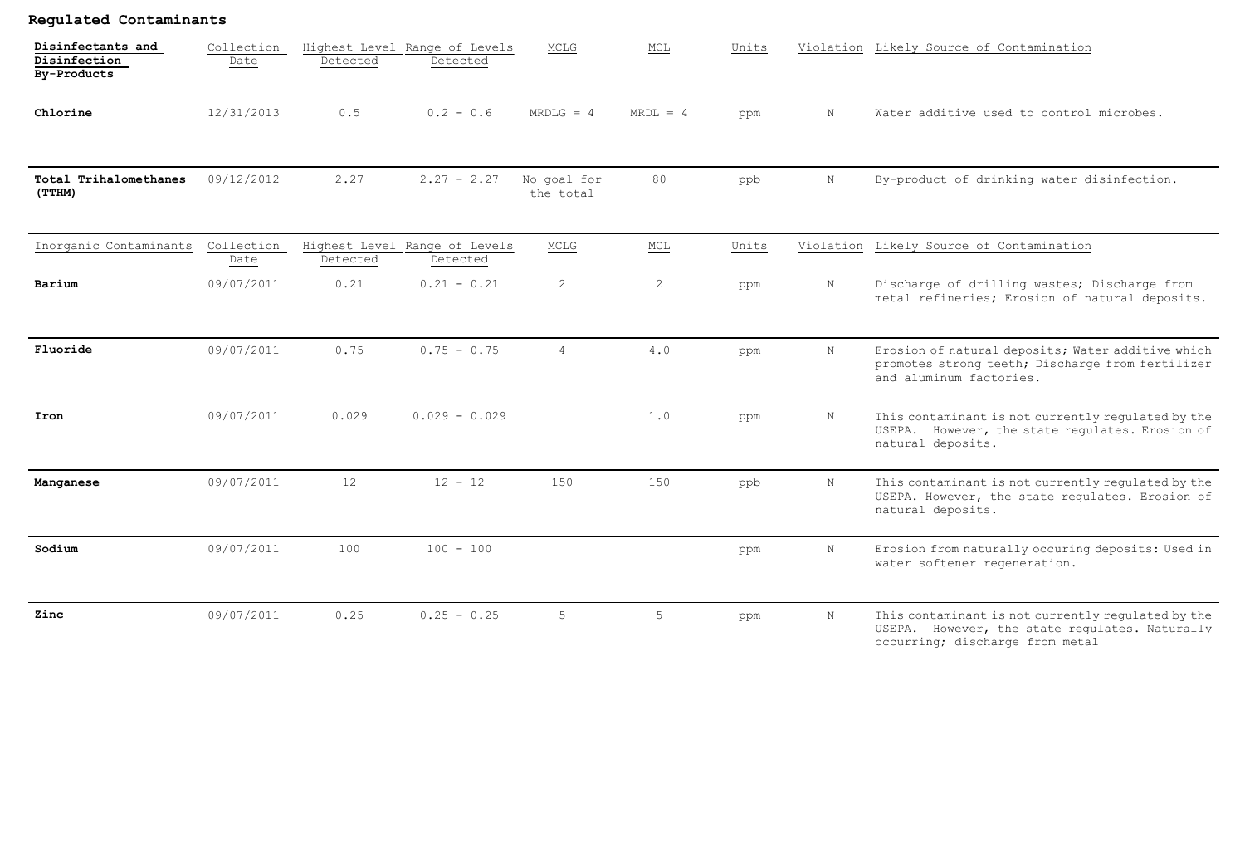| Regulated Contaminants                           |                    |          |                                           |                          |                             |       |             |                                                                                                                                         |  |
|--------------------------------------------------|--------------------|----------|-------------------------------------------|--------------------------|-----------------------------|-------|-------------|-----------------------------------------------------------------------------------------------------------------------------------------|--|
| Disinfectants and<br>Disinfection<br>By-Products | Collection<br>Date | Detected | Highest Level Range of Levels<br>Detected | MCLG                     | $\mathop{\rm MCL}\nolimits$ | Units |             | Violation Likely Source of Contamination                                                                                                |  |
| Chlorine                                         | 12/31/2013         | 0.5      | $0.2 - 0.6$                               | $MRDLG = 4$              | $MRDL = 4$                  | ppm   | N           | Water additive used to control microbes.                                                                                                |  |
| Total Trihalomethanes<br>(TTHM)                  | 09/12/2012         | 2.27     | $2.27 - 2.27$                             | No goal for<br>the total | 80                          | ppb   | $_{\rm N}$  | By-product of drinking water disinfection.                                                                                              |  |
| Inorganic Contaminants                           | Collection<br>Date | Detected | Highest Level Range of Levels<br>Detected | MCLG                     | MCL                         | Units |             | Violation Likely Source of Contamination                                                                                                |  |
| Barium                                           | 09/07/2011         | 0.21     | $0.21 - 0.21$                             | 2                        | $\overline{c}$              | ppm   | $\mathbb N$ | Discharge of drilling wastes; Discharge from<br>metal refineries; Erosion of natural deposits.                                          |  |
| Fluoride                                         | 09/07/2011         | 0.75     | $0.75 - 0.75$                             | $\overline{4}$           | 4.0                         | ppm   | $_{\rm N}$  | Erosion of natural deposits; Water additive which<br>promotes strong teeth; Discharge from fertilizer<br>and aluminum factories.        |  |
| Iron                                             | 09/07/2011         | 0.029    | $0.029 - 0.029$                           |                          | 1.0                         | ppm   | N           | This contaminant is not currently regulated by the<br>USEPA. However, the state regulates. Erosion of<br>natural deposits.              |  |
| Manganese                                        | 09/07/2011         | 12       | $12 - 12$                                 | 150                      | 150                         | ppb   | N           | This contaminant is not currently regulated by the<br>USEPA. However, the state regulates. Erosion of<br>natural deposits.              |  |
| Sodium                                           | 09/07/2011         | 100      | $100 - 100$                               |                          |                             | ppm   | N           | Erosion from naturally occuring deposits: Used in<br>water softener regeneration.                                                       |  |
| Zinc                                             | 09/07/2011         | 0.25     | $0.25 - 0.25$                             | 5                        | 5 <sup>5</sup>              | ppm   | N           | This contaminant is not currently regulated by the<br>USEPA. However, the state regulates. Naturally<br>occurring; discharge from metal |  |